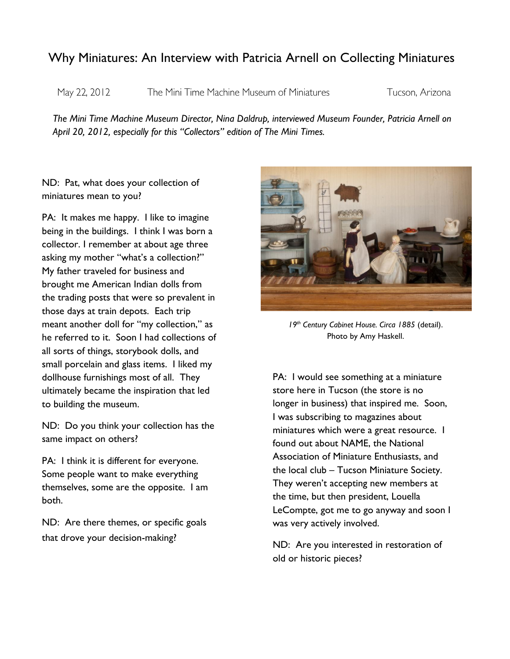## Why Miniatures: An Interview with Patricia Arnell on Collecting Miniatures

May 22, 2012

The Mini Time Machine Museum of Miniatures

Tucson, Arizona

*The Mini Time Machine Museum Director, Nina Daldrup, interviewed Museum Founder, Patricia Arnell on April 20, 2012, especially for this "Collectors" edition of The Mini Times.*

ND: Pat, what does your collection of miniatures mean to you?

PA: It makes me happy. I like to imagine being in the buildings. I think I was born a collector. I remember at about age three asking my mother "what's a collection?" My father traveled for business and brought me American Indian dolls from the trading posts that were so prevalent in those days at train depots. Each trip meant another doll for "my collection," as he referred to it. Soon I had collections of all sorts of things, storybook dolls, and small porcelain and glass items. I liked my dollhouse furnishings most of all. They ultimately became the inspiration that led to building the museum.

ND: Do you think your collection has the same impact on others?

PA: I think it is different for everyone. Some people want to make everything themselves, some are the opposite. I am both.

ND: Are there themes, or specific goals that drove your decision-making?



*19th Century Cabinet House. Circa 1885* (detail). Photo by Amy Haskell.

PA: I would see something at a miniature store here in Tucson (the store is no longer in business) that inspired me. Soon, I was subscribing to magazines about miniatures which were a great resource. I found out about NAME, the National Association of Miniature Enthusiasts, and the local club – Tucson Miniature Society. They weren't accepting new members at the time, but then president, Louella LeCompte, got me to go anyway and soon I was very actively involved.

ND: Are you interested in restoration of old or historic pieces?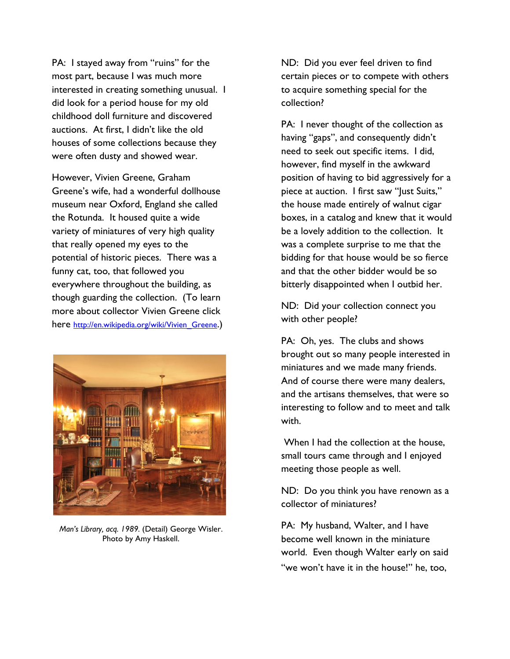PA: I stayed away from "ruins" for the most part, because I was much more interested in creating something unusual. I did look for a period house for my old childhood doll furniture and discovered auctions. At first, I didn't like the old houses of some collections because they were often dusty and showed wear.

However, Vivien Greene, Graham Greene's wife, had a wonderful dollhouse museum near Oxford, England she called the Rotunda. It housed quite a wide variety of miniatures of very high quality that really opened my eyes to the potential of historic pieces. There was a funny cat, too, that followed you everywhere throughout the building, as though guarding the collection. (To learn more about collector Vivien Greene click here http://en.wikipedia.org/wiki/Vivien Greene.)



*Man's Library, acq. 1989.* (Detail) George Wisler. Photo by Amy Haskell.

ND: Did you ever feel driven to find certain pieces or to compete with others to acquire something special for the collection?

PA: I never thought of the collection as having "gaps", and consequently didn't need to seek out specific items. I did, however, find myself in the awkward position of having to bid aggressively for a piece at auction. I first saw "Just Suits," the house made entirely of walnut cigar boxes, in a catalog and knew that it would be a lovely addition to the collection. It was a complete surprise to me that the bidding for that house would be so fierce and that the other bidder would be so bitterly disappointed when I outbid her.

ND: Did your collection connect you with other people?

PA: Oh, yes. The clubs and shows brought out so many people interested in miniatures and we made many friends. And of course there were many dealers, and the artisans themselves, that were so interesting to follow and to meet and talk with.

When I had the collection at the house, small tours came through and I enjoyed meeting those people as well.

ND: Do you think you have renown as a collector of miniatures?

PA: My husband, Walter, and I have become well known in the miniature world. Even though Walter early on said "we won't have it in the house!" he, too,